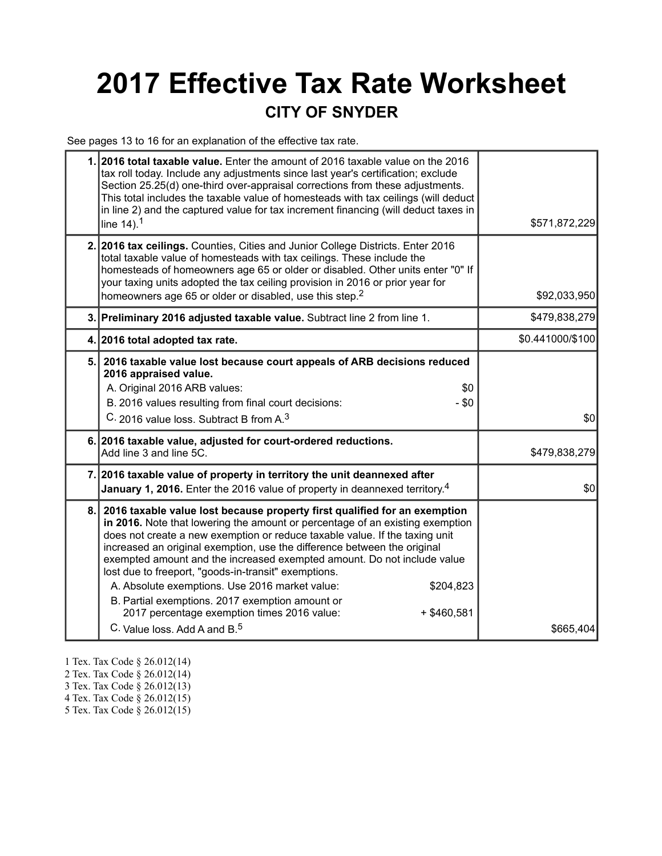# **2017 Effective Tax Rate Worksheet CITY OF SNYDER**

See pages 13 to 16 for an explanation of the effective tax rate.

| 1. 2016 total taxable value. Enter the amount of 2016 taxable value on the 2016<br>tax roll today. Include any adjustments since last year's certification; exclude<br>Section 25.25(d) one-third over-appraisal corrections from these adjustments.<br>This total includes the taxable value of homesteads with tax ceilings (will deduct<br>in line 2) and the captured value for tax increment financing (will deduct taxes in<br>line $14$ ). <sup>1</sup>                                                                                                                                                                                                                            | \$571,872,229    |
|-------------------------------------------------------------------------------------------------------------------------------------------------------------------------------------------------------------------------------------------------------------------------------------------------------------------------------------------------------------------------------------------------------------------------------------------------------------------------------------------------------------------------------------------------------------------------------------------------------------------------------------------------------------------------------------------|------------------|
| 2. 2016 tax ceilings. Counties, Cities and Junior College Districts. Enter 2016<br>total taxable value of homesteads with tax ceilings. These include the<br>homesteads of homeowners age 65 or older or disabled. Other units enter "0" If<br>your taxing units adopted the tax ceiling provision in 2016 or prior year for<br>homeowners age 65 or older or disabled, use this step. <sup>2</sup>                                                                                                                                                                                                                                                                                       | \$92,033,950     |
| 3. Preliminary 2016 adjusted taxable value. Subtract line 2 from line 1.                                                                                                                                                                                                                                                                                                                                                                                                                                                                                                                                                                                                                  | \$479,838,279    |
| 4. 2016 total adopted tax rate.                                                                                                                                                                                                                                                                                                                                                                                                                                                                                                                                                                                                                                                           | \$0.441000/\$100 |
| 5. 2016 taxable value lost because court appeals of ARB decisions reduced<br>2016 appraised value.<br>A. Original 2016 ARB values:<br>\$0<br>B. 2016 values resulting from final court decisions:<br>$-$ \$0<br>C. 2016 value loss. Subtract B from A. <sup>3</sup>                                                                                                                                                                                                                                                                                                                                                                                                                       | \$0              |
| 6. 2016 taxable value, adjusted for court-ordered reductions.<br>Add line 3 and line 5C.                                                                                                                                                                                                                                                                                                                                                                                                                                                                                                                                                                                                  | \$479,838,279    |
| 7. 2016 taxable value of property in territory the unit deannexed after<br>January 1, 2016. Enter the 2016 value of property in deannexed territory. <sup>4</sup>                                                                                                                                                                                                                                                                                                                                                                                                                                                                                                                         | \$0              |
| 8. 2016 taxable value lost because property first qualified for an exemption<br>in 2016. Note that lowering the amount or percentage of an existing exemption<br>does not create a new exemption or reduce taxable value. If the taxing unit<br>increased an original exemption, use the difference between the original<br>exempted amount and the increased exempted amount. Do not include value<br>lost due to freeport, "goods-in-transit" exemptions.<br>A. Absolute exemptions. Use 2016 market value:<br>\$204,823<br>B. Partial exemptions. 2017 exemption amount or<br>2017 percentage exemption times 2016 value:<br>$+$ \$460,581<br>C. Value loss. Add A and B. <sup>5</sup> | \$665,404        |

- 1 Tex. Tax Code § 26.012(14)
- 2 Tex. Tax Code § 26.012(14)
- 3 Tex. Tax Code § 26.012(13)
- 4 Tex. Tax Code § 26.012(15)
- 5 Tex. Tax Code § 26.012(15)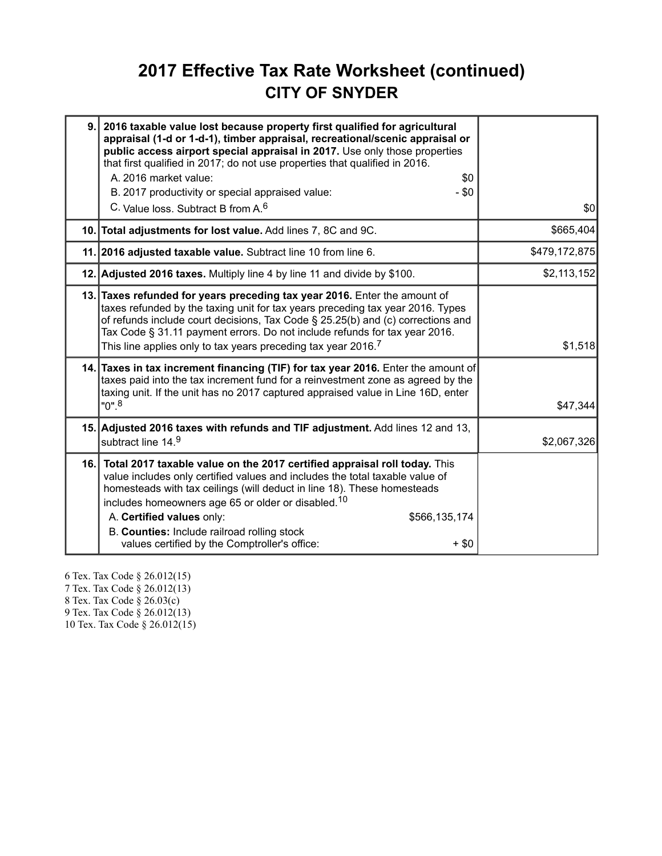# **2017 Effective Tax Rate Worksheet (continued) CITY OF SNYDER**

| 9.   | 2016 taxable value lost because property first qualified for agricultural<br>appraisal (1-d or 1-d-1), timber appraisal, recreational/scenic appraisal or<br>public access airport special appraisal in 2017. Use only those properties<br>that first qualified in 2017; do not use properties that qualified in 2016.<br>A. 2016 market value:<br>\$0<br>$-$ \$0<br>B. 2017 productivity or special appraised value:                                           |               |
|------|-----------------------------------------------------------------------------------------------------------------------------------------------------------------------------------------------------------------------------------------------------------------------------------------------------------------------------------------------------------------------------------------------------------------------------------------------------------------|---------------|
|      | C. Value loss, Subtract B from A. <sup>6</sup>                                                                                                                                                                                                                                                                                                                                                                                                                  | \$0           |
|      | 10. Total adjustments for lost value. Add lines 7, 8C and 9C.                                                                                                                                                                                                                                                                                                                                                                                                   | \$665,404     |
|      | 11. 2016 adjusted taxable value. Subtract line 10 from line 6.                                                                                                                                                                                                                                                                                                                                                                                                  | \$479,172,875 |
|      | 12. Adjusted 2016 taxes. Multiply line 4 by line 11 and divide by \$100.                                                                                                                                                                                                                                                                                                                                                                                        | \$2,113,152   |
|      | 13. Taxes refunded for years preceding tax year 2016. Enter the amount of<br>taxes refunded by the taxing unit for tax years preceding tax year 2016. Types<br>of refunds include court decisions, Tax Code § 25.25(b) and (c) corrections and<br>Tax Code § 31.11 payment errors. Do not include refunds for tax year 2016.<br>This line applies only to tax years preceding tax year 2016. <sup>7</sup>                                                       | \$1,518       |
|      | 14. Taxes in tax increment financing (TIF) for tax year 2016. Enter the amount of<br>taxes paid into the tax increment fund for a reinvestment zone as agreed by the<br>taxing unit. If the unit has no 2017 captured appraised value in Line 16D, enter<br>"0". <sup>8</sup>                                                                                                                                                                                   | \$47,344      |
|      | 15. Adjusted 2016 taxes with refunds and TIF adjustment. Add lines 12 and 13,<br>subtract line 14.9                                                                                                                                                                                                                                                                                                                                                             | \$2,067,326   |
| 16.1 | Total 2017 taxable value on the 2017 certified appraisal roll today. This<br>value includes only certified values and includes the total taxable value of<br>homesteads with tax ceilings (will deduct in line 18). These homesteads<br>includes homeowners age 65 or older or disabled. <sup>10</sup><br>A. Certified values only:<br>\$566,135,174<br>B. Counties: Include railroad rolling stock<br>values certified by the Comptroller's office:<br>$+$ \$0 |               |

6 Tex. Tax Code § 26.012(15) 7 Tex. Tax Code § 26.012(13) 8 Tex. Tax Code § 26.03(c) 9 Tex. Tax Code § 26.012(13) 10 Tex. Tax Code § 26.012(15)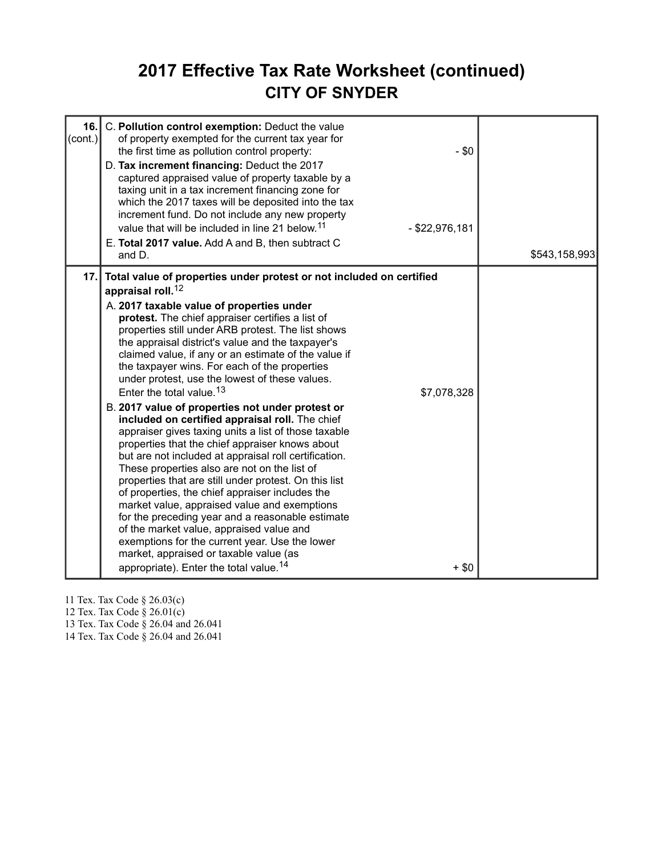# **2017 Effective Tax Rate Worksheet (continued) CITY OF SNYDER**

| 16.<br>(cont.) | C. Pollution control exemption: Deduct the value<br>of property exempted for the current tax year for<br>the first time as pollution control property:<br>D. Tax increment financing: Deduct the 2017<br>captured appraised value of property taxable by a<br>taxing unit in a tax increment financing zone for<br>which the 2017 taxes will be deposited into the tax<br>increment fund. Do not include any new property<br>value that will be included in line 21 below. <sup>11</sup><br>E. Total 2017 value. Add A and B, then subtract C<br>and D.                                                                                                                                                                                                                                                                                                                                                                                                                                                                                                                                                                                                                                                                                                       | $-$ \$0<br>$-$ \$22,976,181 | \$543,158,993 |
|----------------|---------------------------------------------------------------------------------------------------------------------------------------------------------------------------------------------------------------------------------------------------------------------------------------------------------------------------------------------------------------------------------------------------------------------------------------------------------------------------------------------------------------------------------------------------------------------------------------------------------------------------------------------------------------------------------------------------------------------------------------------------------------------------------------------------------------------------------------------------------------------------------------------------------------------------------------------------------------------------------------------------------------------------------------------------------------------------------------------------------------------------------------------------------------------------------------------------------------------------------------------------------------|-----------------------------|---------------|
| 17.1           | Total value of properties under protest or not included on certified<br>appraisal roll. <sup>12</sup><br>A. 2017 taxable value of properties under<br>protest. The chief appraiser certifies a list of<br>properties still under ARB protest. The list shows<br>the appraisal district's value and the taxpayer's<br>claimed value, if any or an estimate of the value if<br>the taxpayer wins. For each of the properties<br>under protest, use the lowest of these values.<br>Enter the total value. <sup>13</sup><br>B. 2017 value of properties not under protest or<br>included on certified appraisal roll. The chief<br>appraiser gives taxing units a list of those taxable<br>properties that the chief appraiser knows about<br>but are not included at appraisal roll certification.<br>These properties also are not on the list of<br>properties that are still under protest. On this list<br>of properties, the chief appraiser includes the<br>market value, appraised value and exemptions<br>for the preceding year and a reasonable estimate<br>of the market value, appraised value and<br>exemptions for the current year. Use the lower<br>market, appraised or taxable value (as<br>appropriate). Enter the total value. <sup>14</sup> | \$7,078,328<br>$+$ \$0      |               |

11 Tex. Tax Code § 26.03(c)

12 Tex. Tax Code § 26.01(c)

13 Tex. Tax Code § 26.04 and 26.041

14 Tex. Tax Code § 26.04 and 26.041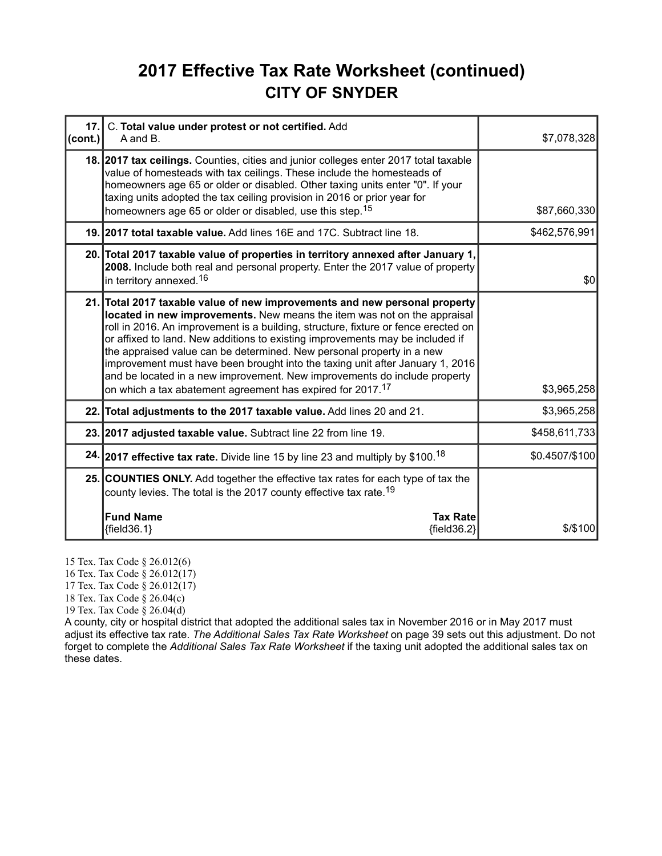# **2017 Effective Tax Rate Worksheet (continued) CITY OF SNYDER**

| 17.<br>(cont.) | C. Total value under protest or not certified. Add<br>A and B.                                                                                                                                                                                                                                                                                                                                                                                                                                                                                                                                                                     | \$7,078,328    |
|----------------|------------------------------------------------------------------------------------------------------------------------------------------------------------------------------------------------------------------------------------------------------------------------------------------------------------------------------------------------------------------------------------------------------------------------------------------------------------------------------------------------------------------------------------------------------------------------------------------------------------------------------------|----------------|
|                | 18. 2017 tax ceilings. Counties, cities and junior colleges enter 2017 total taxable<br>value of homesteads with tax ceilings. These include the homesteads of<br>homeowners age 65 or older or disabled. Other taxing units enter "0". If your<br>taxing units adopted the tax ceiling provision in 2016 or prior year for<br>homeowners age 65 or older or disabled, use this step. <sup>15</sup>                                                                                                                                                                                                                                | \$87,660,330   |
|                | 19. 2017 total taxable value. Add lines 16E and 17C. Subtract line 18.                                                                                                                                                                                                                                                                                                                                                                                                                                                                                                                                                             | \$462,576,991  |
|                | 20. Total 2017 taxable value of properties in territory annexed after January 1,<br>2008. Include both real and personal property. Enter the 2017 value of property<br>in territory annexed. <sup>16</sup>                                                                                                                                                                                                                                                                                                                                                                                                                         | \$0            |
|                | 21. Total 2017 taxable value of new improvements and new personal property<br>located in new improvements. New means the item was not on the appraisal<br>roll in 2016. An improvement is a building, structure, fixture or fence erected on<br>or affixed to land. New additions to existing improvements may be included if<br>the appraised value can be determined. New personal property in a new<br>improvement must have been brought into the taxing unit after January 1, 2016<br>and be located in a new improvement. New improvements do include property<br>on which a tax abatement agreement has expired for 2017.17 | \$3,965,258    |
|                | 22. Total adjustments to the 2017 taxable value. Add lines 20 and 21.                                                                                                                                                                                                                                                                                                                                                                                                                                                                                                                                                              | \$3,965,258    |
|                | 23. 2017 adjusted taxable value. Subtract line 22 from line 19.                                                                                                                                                                                                                                                                                                                                                                                                                                                                                                                                                                    | \$458,611,733  |
|                | 24. 2017 effective tax rate. Divide line 15 by line 23 and multiply by \$100. <sup>18</sup>                                                                                                                                                                                                                                                                                                                                                                                                                                                                                                                                        | \$0.4507/\$100 |
|                | 25. COUNTIES ONLY. Add together the effective tax rates for each type of tax the<br>county levies. The total is the 2017 county effective tax rate. <sup>19</sup>                                                                                                                                                                                                                                                                                                                                                                                                                                                                  |                |
|                | <b>Fund Name</b><br><b>Tax Rate</b><br>${field36.1}$<br>${field36.2}$                                                                                                                                                                                                                                                                                                                                                                                                                                                                                                                                                              | $$$ /\$100     |

15 Tex. Tax Code § 26.012(6)

16 Tex. Tax Code § 26.012(17)

17 Tex. Tax Code § 26.012(17)

18 Tex. Tax Code § 26.04(c)

19 Tex. Tax Code § 26.04(d)

A county, city or hospital district that adopted the additional sales tax in November 2016 or in May 2017 must adjust its effective tax rate. *The Additional Sales Tax Rate Worksheet* on page 39 sets out this adjustment. Do not forget to complete the *Additional Sales Tax Rate Worksheet* if the taxing unit adopted the additional sales tax on these dates.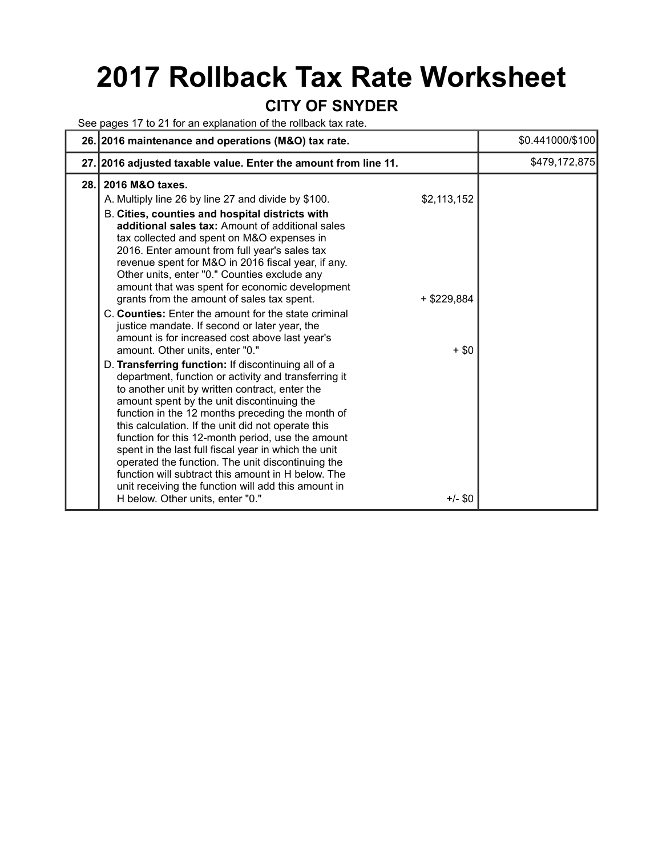# **2017 Rollback Tax Rate Worksheet**

#### **CITY OF SNYDER**

See pages 17 to 21 for an explanation of the rollback tax rate.

|      | 26. 2016 maintenance and operations (M&O) tax rate.                                                                                                                                                                                                                                                                                                                                                                                                                                                                                                                                                                                                                         | \$0.441000/\$100     |
|------|-----------------------------------------------------------------------------------------------------------------------------------------------------------------------------------------------------------------------------------------------------------------------------------------------------------------------------------------------------------------------------------------------------------------------------------------------------------------------------------------------------------------------------------------------------------------------------------------------------------------------------------------------------------------------------|----------------------|
|      | 27. 2016 adjusted taxable value. Enter the amount from line 11.                                                                                                                                                                                                                                                                                                                                                                                                                                                                                                                                                                                                             | \$479,172,875        |
| 28.1 | 2016 M&O taxes.<br>\$2,113,152<br>A. Multiply line 26 by line 27 and divide by \$100.<br>B. Cities, counties and hospital districts with<br>additional sales tax: Amount of additional sales<br>tax collected and spent on M&O expenses in<br>2016. Enter amount from full year's sales tax<br>revenue spent for M&O in 2016 fiscal year, if any.<br>Other units, enter "0." Counties exclude any<br>amount that was spent for economic development<br>grants from the amount of sales tax spent.<br>+ \$229,884<br>C. Counties: Enter the amount for the state criminal<br>justice mandate. If second or later year, the<br>amount is for increased cost above last year's |                      |
|      | amount. Other units, enter "0."<br>D. Transferring function: If discontinuing all of a<br>department, function or activity and transferring it<br>to another unit by written contract, enter the<br>amount spent by the unit discontinuing the<br>function in the 12 months preceding the month of<br>this calculation. If the unit did not operate this<br>function for this 12-month period, use the amount<br>spent in the last full fiscal year in which the unit<br>operated the function. The unit discontinuing the<br>function will subtract this amount in H below. The<br>unit receiving the function will add this amount in<br>H below. Other units, enter "0." | $+$ \$0<br>$+/-$ \$0 |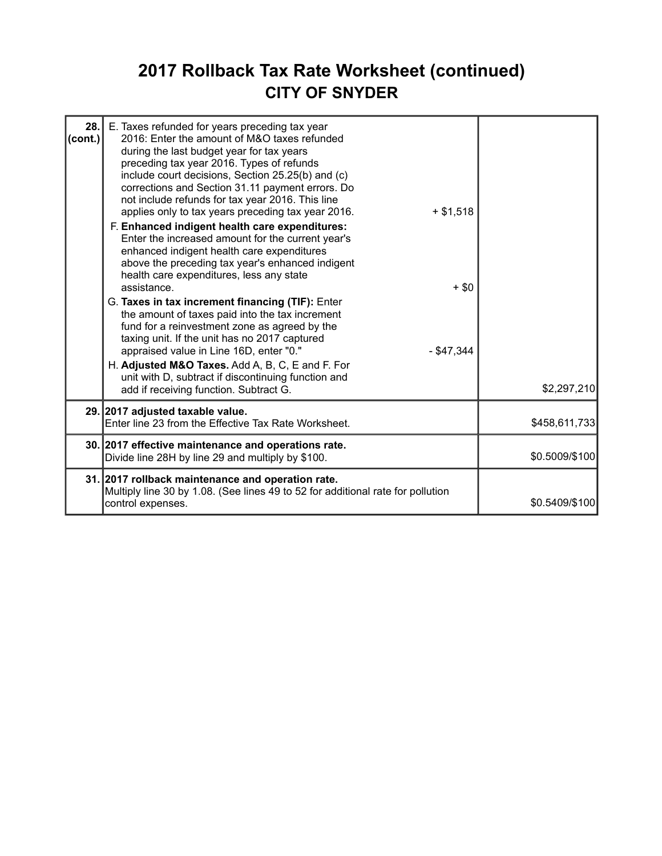# **2017 Rollback Tax Rate Worksheet (continued) CITY OF SNYDER**

| 28.<br>(cont.) | E. Taxes refunded for years preceding tax year<br>2016: Enter the amount of M&O taxes refunded<br>during the last budget year for tax years<br>preceding tax year 2016. Types of refunds<br>include court decisions, Section 25.25(b) and (c)<br>corrections and Section 31.11 payment errors. Do<br>not include refunds for tax year 2016. This line<br>applies only to tax years preceding tax year 2016.<br>$+ $1,518$<br>F. Enhanced indigent health care expenditures:<br>Enter the increased amount for the current year's<br>enhanced indigent health care expenditures<br>above the preceding tax year's enhanced indigent<br>health care expenditures, less any state<br>assistance.<br>$+$ \$0<br>G. Taxes in tax increment financing (TIF): Enter<br>the amount of taxes paid into the tax increment<br>fund for a reinvestment zone as agreed by the<br>taxing unit. If the unit has no 2017 captured<br>appraised value in Line 16D, enter "0."<br>$-$ \$47,344<br>H. Adjusted M&O Taxes. Add A, B, C, E and F. For<br>unit with D, subtract if discontinuing function and<br>add if receiving function. Subtract G. | \$2,297,210    |
|----------------|-----------------------------------------------------------------------------------------------------------------------------------------------------------------------------------------------------------------------------------------------------------------------------------------------------------------------------------------------------------------------------------------------------------------------------------------------------------------------------------------------------------------------------------------------------------------------------------------------------------------------------------------------------------------------------------------------------------------------------------------------------------------------------------------------------------------------------------------------------------------------------------------------------------------------------------------------------------------------------------------------------------------------------------------------------------------------------------------------------------------------------------|----------------|
|                | 29. 2017 adjusted taxable value.<br>Enter line 23 from the Effective Tax Rate Worksheet.                                                                                                                                                                                                                                                                                                                                                                                                                                                                                                                                                                                                                                                                                                                                                                                                                                                                                                                                                                                                                                          | \$458,611,733  |
|                | 30. 2017 effective maintenance and operations rate.<br>Divide line 28H by line 29 and multiply by \$100.                                                                                                                                                                                                                                                                                                                                                                                                                                                                                                                                                                                                                                                                                                                                                                                                                                                                                                                                                                                                                          | \$0.5009/\$100 |
|                | 31. 2017 rollback maintenance and operation rate.<br>Multiply line 30 by 1.08. (See lines 49 to 52 for additional rate for pollution<br>control expenses.                                                                                                                                                                                                                                                                                                                                                                                                                                                                                                                                                                                                                                                                                                                                                                                                                                                                                                                                                                         | \$0.5409/\$100 |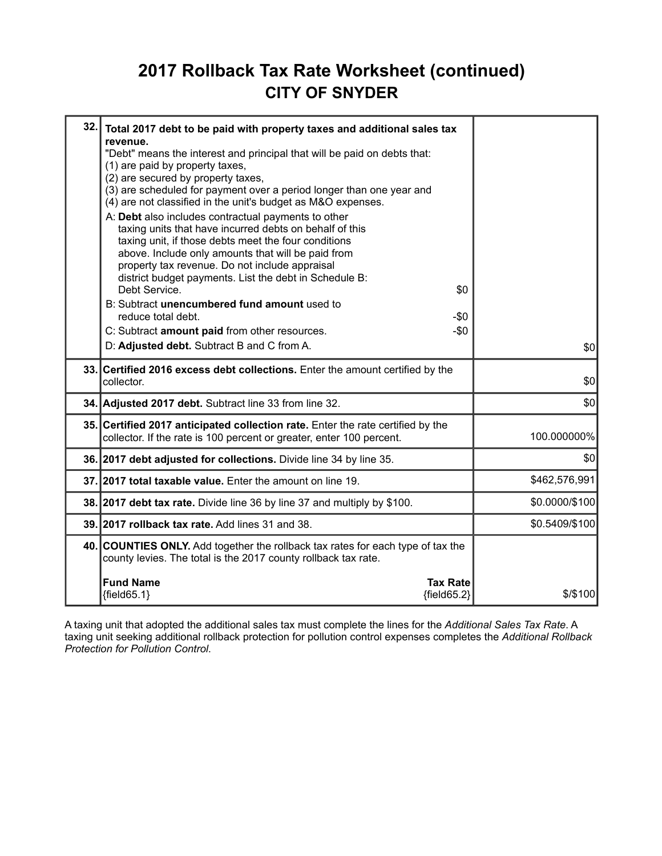# **2017 Rollback Tax Rate Worksheet (continued) CITY OF SNYDER**

| 32. | Total 2017 debt to be paid with property taxes and additional sales tax<br>revenue.<br>"Debt" means the interest and principal that will be paid on debts that:<br>(1) are paid by property taxes,<br>(2) are secured by property taxes,<br>(3) are scheduled for payment over a period longer than one year and<br>(4) are not classified in the unit's budget as M&O expenses.<br>A: Debt also includes contractual payments to other<br>taxing units that have incurred debts on behalf of this<br>taxing unit, if those debts meet the four conditions<br>above. Include only amounts that will be paid from<br>property tax revenue. Do not include appraisal<br>district budget payments. List the debt in Schedule B:<br>Debt Service.<br>\$0<br>B: Subtract unencumbered fund amount used to<br>reduce total debt.<br>$-\$0$<br>C: Subtract amount paid from other resources.<br>$-\$0$<br>D: Adjusted debt. Subtract B and C from A. | \$0            |
|-----|-----------------------------------------------------------------------------------------------------------------------------------------------------------------------------------------------------------------------------------------------------------------------------------------------------------------------------------------------------------------------------------------------------------------------------------------------------------------------------------------------------------------------------------------------------------------------------------------------------------------------------------------------------------------------------------------------------------------------------------------------------------------------------------------------------------------------------------------------------------------------------------------------------------------------------------------------|----------------|
|     |                                                                                                                                                                                                                                                                                                                                                                                                                                                                                                                                                                                                                                                                                                                                                                                                                                                                                                                                               |                |
|     | 33. Certified 2016 excess debt collections. Enter the amount certified by the<br>collector.                                                                                                                                                                                                                                                                                                                                                                                                                                                                                                                                                                                                                                                                                                                                                                                                                                                   | \$0            |
|     | 34. Adjusted 2017 debt. Subtract line 33 from line 32.                                                                                                                                                                                                                                                                                                                                                                                                                                                                                                                                                                                                                                                                                                                                                                                                                                                                                        | \$0            |
|     | 35. Certified 2017 anticipated collection rate. Enter the rate certified by the<br>collector. If the rate is 100 percent or greater, enter 100 percent.                                                                                                                                                                                                                                                                                                                                                                                                                                                                                                                                                                                                                                                                                                                                                                                       | 100.000000%    |
|     | 36. 2017 debt adjusted for collections. Divide line 34 by line 35.                                                                                                                                                                                                                                                                                                                                                                                                                                                                                                                                                                                                                                                                                                                                                                                                                                                                            | \$0            |
|     | 37. 2017 total taxable value. Enter the amount on line 19.                                                                                                                                                                                                                                                                                                                                                                                                                                                                                                                                                                                                                                                                                                                                                                                                                                                                                    | \$462,576,991  |
|     | 38. 2017 debt tax rate. Divide line 36 by line 37 and multiply by \$100.                                                                                                                                                                                                                                                                                                                                                                                                                                                                                                                                                                                                                                                                                                                                                                                                                                                                      | \$0.0000/\$100 |
|     | 39. 2017 rollback tax rate. Add lines 31 and 38.                                                                                                                                                                                                                                                                                                                                                                                                                                                                                                                                                                                                                                                                                                                                                                                                                                                                                              | \$0.5409/\$100 |
|     | 40. COUNTIES ONLY. Add together the rollback tax rates for each type of tax the<br>county levies. The total is the 2017 county rollback tax rate.                                                                                                                                                                                                                                                                                                                                                                                                                                                                                                                                                                                                                                                                                                                                                                                             |                |
|     | <b>Fund Name</b><br><b>Tax Rate</b><br>${field65.1}$<br>${field65.2}$                                                                                                                                                                                                                                                                                                                                                                                                                                                                                                                                                                                                                                                                                                                                                                                                                                                                         | $$$ /\$100     |

A taxing unit that adopted the additional sales tax must complete the lines for the *Additional Sales Tax Rate*. A taxing unit seeking additional rollback protection for pollution control expenses completes the *Additional Rollback Protection for Pollution Control*.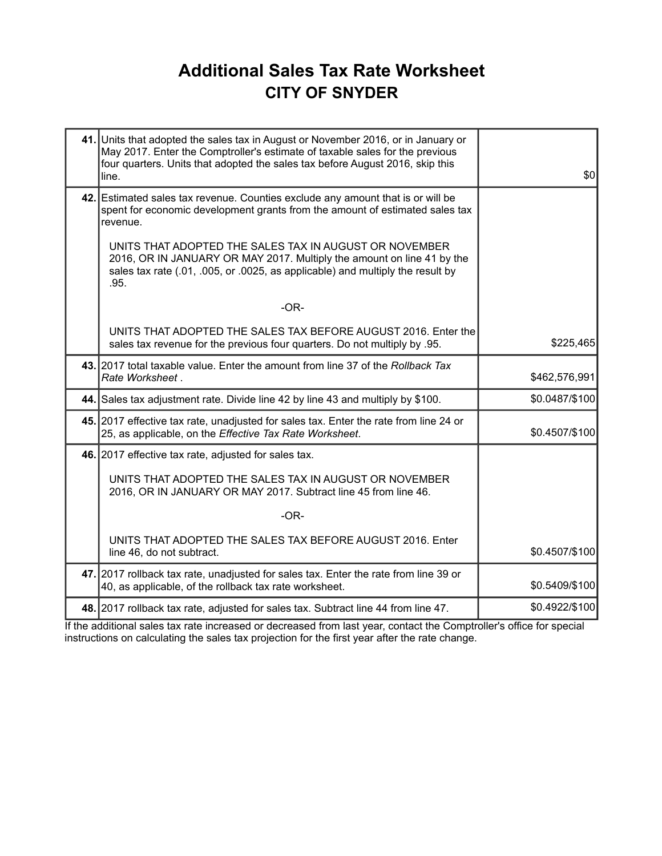# **Additional Sales Tax Rate Worksheet CITY OF SNYDER**

| 41. Units that adopted the sales tax in August or November 2016, or in January or<br>May 2017. Enter the Comptroller's estimate of taxable sales for the previous<br>four quarters. Units that adopted the sales tax before August 2016, skip this<br>line. | \$0            |
|-------------------------------------------------------------------------------------------------------------------------------------------------------------------------------------------------------------------------------------------------------------|----------------|
| 42. Estimated sales tax revenue. Counties exclude any amount that is or will be<br>spent for economic development grants from the amount of estimated sales tax<br>revenue.                                                                                 |                |
| UNITS THAT ADOPTED THE SALES TAX IN AUGUST OR NOVEMBER<br>2016, OR IN JANUARY OR MAY 2017. Multiply the amount on line 41 by the<br>sales tax rate (.01, .005, or .0025, as applicable) and multiply the result by<br>.95.                                  |                |
| $-OR-$                                                                                                                                                                                                                                                      |                |
| UNITS THAT ADOPTED THE SALES TAX BEFORE AUGUST 2016. Enter the<br>sales tax revenue for the previous four quarters. Do not multiply by .95.                                                                                                                 | \$225,465      |
| 43. 2017 total taxable value. Enter the amount from line 37 of the Rollback Tax<br>Rate Worksheet.                                                                                                                                                          | \$462,576,991  |
| 44. Sales tax adjustment rate. Divide line 42 by line 43 and multiply by \$100.                                                                                                                                                                             | \$0.0487/\$100 |
| 45. 2017 effective tax rate, unadjusted for sales tax. Enter the rate from line 24 or<br>25, as applicable, on the Effective Tax Rate Worksheet.                                                                                                            | \$0.4507/\$100 |
| 46. 2017 effective tax rate, adjusted for sales tax.                                                                                                                                                                                                        |                |
| UNITS THAT ADOPTED THE SALES TAX IN AUGUST OR NOVEMBER<br>2016, OR IN JANUARY OR MAY 2017. Subtract line 45 from line 46.                                                                                                                                   |                |
| $-OR-$                                                                                                                                                                                                                                                      |                |
| UNITS THAT ADOPTED THE SALES TAX BEFORE AUGUST 2016. Enter<br>line 46, do not subtract.                                                                                                                                                                     | \$0.4507/\$100 |
| 47. 2017 rollback tax rate, unadjusted for sales tax. Enter the rate from line 39 or<br>40, as applicable, of the rollback tax rate worksheet.                                                                                                              | \$0.5409/\$100 |
| 48. 2017 rollback tax rate, adjusted for sales tax. Subtract line 44 from line 47.                                                                                                                                                                          | \$0.4922/\$100 |

If the additional sales tax rate increased or decreased from last year, contact the Comptroller's office for special instructions on calculating the sales tax projection for the first year after the rate change.